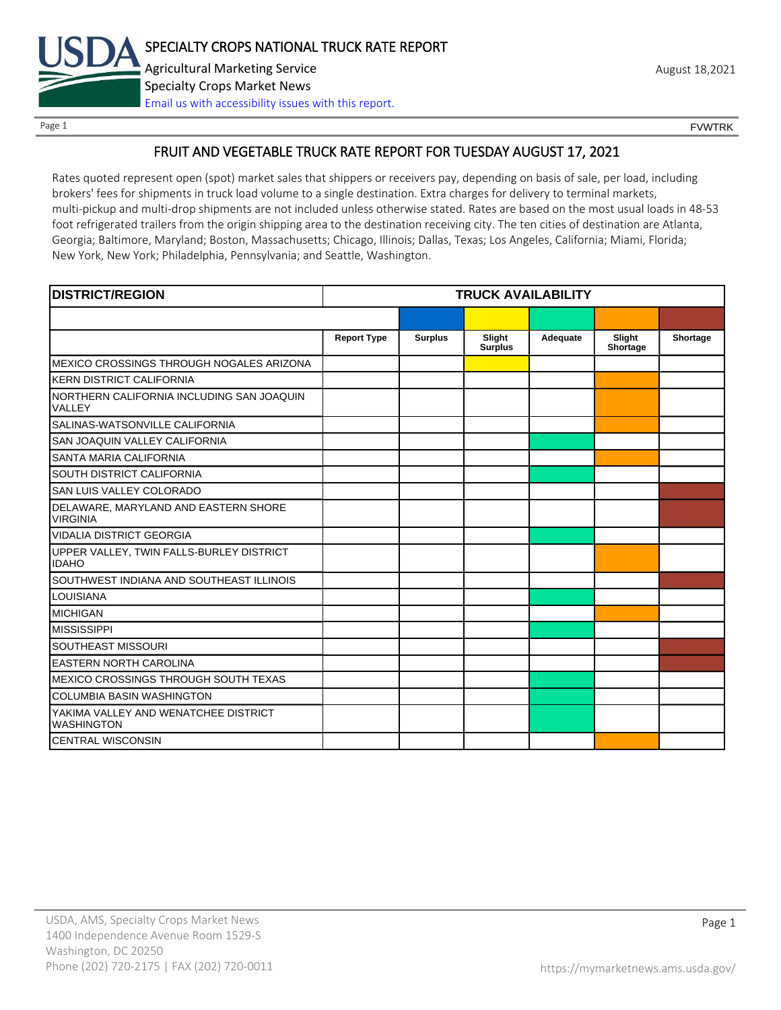

Page 1 FOUNTRK CONTROL CONTROL CONTROL CONTROL CONTROL CONTROL CONTROL CONTROL CONTROL CONTROL CONTROL CONTROL CONTROL CONTROL CONTROL CONTROL CONTROL CONTROL CONTROL CONTROL CONTROL CONTROL CONTROL CONTROL CONTROL CONTROL

# FRUIT AND VEGETABLE TRUCK RATE REPORT FOR TUESDAY AUGUST 17, 2021

Rates quoted represent open (spot) market sales that shippers or receivers pay, depending on basis of sale, per load, including brokers' fees for shipments in truck load volume to a single destination. Extra charges for delivery to terminal markets, multi-pickup and multi-drop shipments are not included unless otherwise stated. Rates are based on the most usual loads in 48-53 foot refrigerated trailers from the origin shipping area to the destination receiving city. The ten cities of destination are Atlanta, Georgia; Baltimore, Maryland; Boston, Massachusetts; Chicago, Illinois; Dallas, Texas; Los Angeles, California; Miami, Florida; New York, New York; Philadelphia, Pennsylvania; and Seattle, Washington.

| <b>DISTRICT/REGION</b>                                    | <b>TRUCK AVAILABILITY</b> |                |                          |          |                    |          |
|-----------------------------------------------------------|---------------------------|----------------|--------------------------|----------|--------------------|----------|
|                                                           |                           |                |                          |          |                    |          |
|                                                           | <b>Report Type</b>        | <b>Surplus</b> | Slight<br><b>Surplus</b> | Adequate | Slight<br>Shortage | Shortage |
| MEXICO CROSSINGS THROUGH NOGALES ARIZONA                  |                           |                |                          |          |                    |          |
| <b>KERN DISTRICT CALIFORNIA</b>                           |                           |                |                          |          |                    |          |
| NORTHERN CALIFORNIA INCLUDING SAN JOAQUIN<br>VALLEY       |                           |                |                          |          |                    |          |
| SALINAS-WATSONVILLE CALIFORNIA                            |                           |                |                          |          |                    |          |
| SAN JOAQUIN VALLEY CALIFORNIA                             |                           |                |                          |          |                    |          |
| SANTA MARIA CALIFORNIA                                    |                           |                |                          |          |                    |          |
| SOUTH DISTRICT CALIFORNIA                                 |                           |                |                          |          |                    |          |
| SAN LUIS VALLEY COLORADO                                  |                           |                |                          |          |                    |          |
| DELAWARE, MARYLAND AND EASTERN SHORE<br><b>VIRGINIA</b>   |                           |                |                          |          |                    |          |
| <b>VIDALIA DISTRICT GEORGIA</b>                           |                           |                |                          |          |                    |          |
| UPPER VALLEY, TWIN FALLS-BURLEY DISTRICT<br><b>IDAHO</b>  |                           |                |                          |          |                    |          |
| SOUTHWEST INDIANA AND SOUTHEAST ILLINOIS                  |                           |                |                          |          |                    |          |
| <b>LOUISIANA</b>                                          |                           |                |                          |          |                    |          |
| <b>MICHIGAN</b>                                           |                           |                |                          |          |                    |          |
| <b>MISSISSIPPI</b>                                        |                           |                |                          |          |                    |          |
| <b>SOUTHEAST MISSOURI</b>                                 |                           |                |                          |          |                    |          |
| <b>EASTERN NORTH CAROLINA</b>                             |                           |                |                          |          |                    |          |
| MEXICO CROSSINGS THROUGH SOUTH TEXAS                      |                           |                |                          |          |                    |          |
| <b>COLUMBIA BASIN WASHINGTON</b>                          |                           |                |                          |          |                    |          |
| YAKIMA VALLEY AND WENATCHEE DISTRICT<br><b>WASHINGTON</b> |                           |                |                          |          |                    |          |
| <b>CENTRAL WISCONSIN</b>                                  |                           |                |                          |          |                    |          |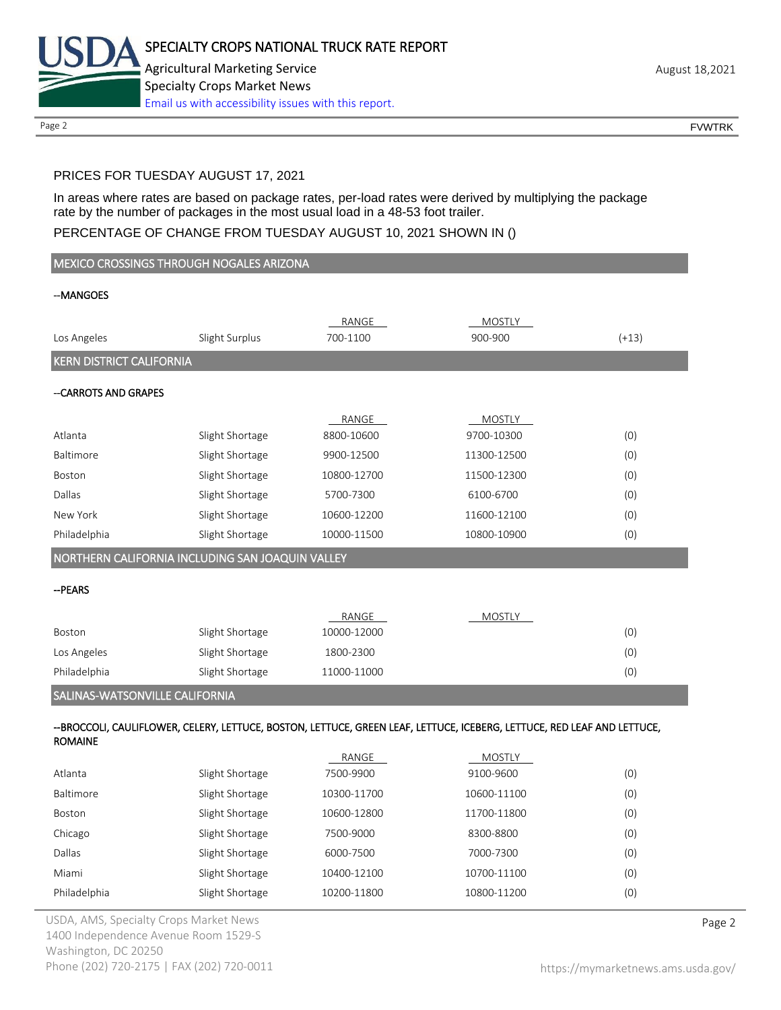

Page 2 FOUNTRK CONTROL CONTROL CONTROL CONTROL CONTROL CONTROL CONTROL CONTROL CONTROL CONTROL CONTROL CONTROL CONTROL CONTROL CONTROL CONTROL CONTROL CONTROL CONTROL CONTROL CONTROL CONTROL CONTROL CONTROL CONTROL CONTROL

# PRICES FOR TUESDAY AUGUST 17, 2021

In areas where rates are based on package rates, per-load rates were derived by multiplying the package rate by the number of packages in the most usual load in a 48-53 foot trailer.

## PERCENTAGE OF CHANGE FROM TUESDAY AUGUST 10, 2021 SHOWN IN ()

| MEXICO CROSSINGS THROUGH NOGALES ARIZONA         |                 |                   |                                                                                                                         |         |
|--------------------------------------------------|-----------------|-------------------|-------------------------------------------------------------------------------------------------------------------------|---------|
| --MANGOES                                        |                 |                   |                                                                                                                         |         |
|                                                  |                 |                   |                                                                                                                         |         |
| Los Angeles                                      | Slight Surplus  | RANGE<br>700-1100 | <b>MOSTLY</b><br>900-900                                                                                                | $(+13)$ |
| <b>KERN DISTRICT CALIFORNIA</b>                  |                 |                   |                                                                                                                         |         |
|                                                  |                 |                   |                                                                                                                         |         |
| --CARROTS AND GRAPES                             |                 |                   |                                                                                                                         |         |
|                                                  |                 | RANGE             | <b>MOSTLY</b>                                                                                                           |         |
| Atlanta                                          | Slight Shortage | 8800-10600        | 9700-10300                                                                                                              | (0)     |
| Baltimore                                        | Slight Shortage | 9900-12500        | 11300-12500                                                                                                             | (0)     |
| Boston                                           | Slight Shortage | 10800-12700       | 11500-12300                                                                                                             | (0)     |
| Dallas                                           | Slight Shortage | 5700-7300         | 6100-6700                                                                                                               | (0)     |
| New York                                         | Slight Shortage | 10600-12200       | 11600-12100                                                                                                             | (0)     |
| Philadelphia                                     | Slight Shortage | 10000-11500       | 10800-10900                                                                                                             | (0)     |
| NORTHERN CALIFORNIA INCLUDING SAN JOAQUIN VALLEY |                 |                   |                                                                                                                         |         |
| -- PEARS                                         |                 |                   |                                                                                                                         |         |
|                                                  |                 |                   |                                                                                                                         |         |
|                                                  |                 | RANGE             | MOSTLY                                                                                                                  |         |
| Boston                                           | Slight Shortage | 10000-12000       |                                                                                                                         | (0)     |
| Los Angeles                                      | Slight Shortage | 1800-2300         |                                                                                                                         | (0)     |
| Philadelphia                                     | Slight Shortage | 11000-11000       |                                                                                                                         | (0)     |
| SALINAS-WATSONVILLE CALIFORNIA                   |                 |                   |                                                                                                                         |         |
|                                                  |                 |                   | --BROCCOLI, CAULIFLOWER, CELERY, LETTUCE, BOSTON, LETTUCE, GREEN LEAF, LETTUCE, ICEBERG, LETTUCE, RED LEAF AND LETTUCE, |         |
| <b>ROMAINE</b>                                   |                 |                   |                                                                                                                         |         |
|                                                  |                 | RANGE             | MOSTLY                                                                                                                  |         |
| Atlanta                                          | Slight Shortage | 7500-9900         | 9100-9600                                                                                                               | (0)     |
| Baltimore                                        | Slight Shortage | 10300-11700       | 10600-11100                                                                                                             | (0)     |
| Boston                                           | Slight Shortage | 10600-12800       | 11700-11800                                                                                                             | (0)     |
| Chicago                                          | Slight Shortage | 7500-9000         | 8300-8800                                                                                                               | (0)     |
| Dallas                                           | Slight Shortage | 6000-7500         | 7000-7300                                                                                                               | (0)     |

Miami Slight Shortage 10400-12100 10700-11100 (0) Philadelphia Slight Shortage 10200-11800 10800-11200 (0)

USDA, AMS, Specialty Crops Market News **Page 2** 1400 Independence Avenue Room 1529-S Washington, DC 20250 Phone (202) 720-2175 | FAX (202) 720-0011 <https://mymarketnews.ams.usda.gov/>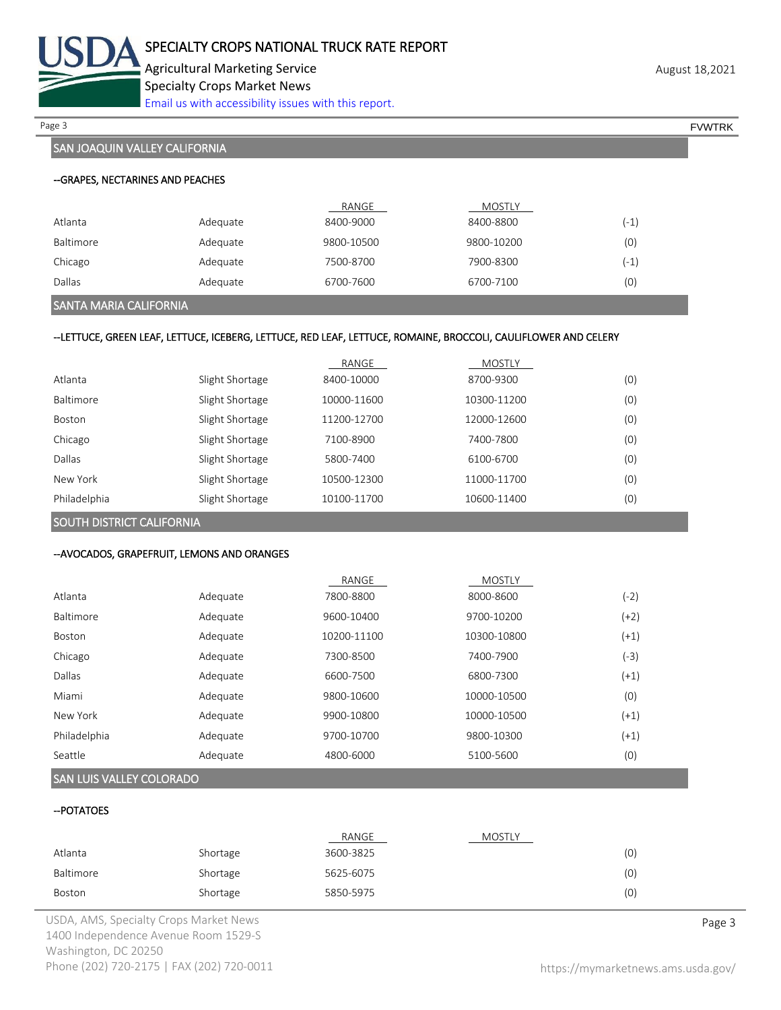

Agricultural Marketing Service **August 18,2021** August 18,2021 Specialty Crops Market News [Email us with accessibility issues with this report.](mailto:mars@ams.usda.gov?subject=508%20Inquiry/Report)

Page 3 FOUNTRK And the set of the set of the set of the set of the set of the set of the set of the set of the set of the set of the set of the set of the set of the set of the set of the set of the set of the set of the s

# SAN JOAQUIN VALLEY CALIFORNIA

|           |          | RANGE      | <b>MOSTLY</b> |        |
|-----------|----------|------------|---------------|--------|
| Atlanta   | Adequate | 8400-9000  | 8400-8800     | $(-1)$ |
| Baltimore | Adequate | 9800-10500 | 9800-10200    | (0)    |
| Chicago   | Adequate | 7500-8700  | 7900-8300     | (-1)   |
| Dallas    | Adequate | 6700-7600  | 6700-7100     | (0)    |

## SANTA MARIA CALIFORNIA

## --LETTUCE, GREEN LEAF, LETTUCE, ICEBERG, LETTUCE, RED LEAF, LETTUCE, ROMAINE, BROCCOLI, CAULIFLOWER AND CELERY

|               |                 | RANGE       | <b>MOSTLY</b> |     |
|---------------|-----------------|-------------|---------------|-----|
| Atlanta       | Slight Shortage | 8400-10000  | 8700-9300     | (0) |
| Baltimore     | Slight Shortage | 10000-11600 | 10300-11200   | (0) |
| <b>Boston</b> | Slight Shortage | 11200-12700 | 12000-12600   | (0) |
| Chicago       | Slight Shortage | 7100-8900   | 7400-7800     | (0) |
| Dallas        | Slight Shortage | 5800-7400   | 6100-6700     | (0) |
| New York      | Slight Shortage | 10500-12300 | 11000-11700   | (0) |
| Philadelphia  | Slight Shortage | 10100-11700 | 10600-11400   | (0) |

SOUTH DISTRICT CALIFORNIA

## --AVOCADOS, GRAPEFRUIT, LEMONS AND ORANGES

|               |          | RANGE       | <b>MOSTLY</b> |        |
|---------------|----------|-------------|---------------|--------|
| Atlanta       | Adequate | 7800-8800   | 8000-8600     | (-2)   |
| Baltimore     | Adequate | 9600-10400  | 9700-10200    | (+2)   |
| <b>Boston</b> | Adequate | 10200-11100 | 10300-10800   | (+1)   |
| Chicago       | Adequate | 7300-8500   | 7400-7900     | (-3)   |
| Dallas        | Adequate | 6600-7500   | 6800-7300     | $(+1)$ |
| Miami         | Adequate | 9800-10600  | 10000-10500   | (0)    |
| New York      | Adequate | 9900-10800  | 10000-10500   | (+1)   |
| Philadelphia  | Adequate | 9700-10700  | 9800-10300    | $(+1)$ |
| Seattle       | Adequate | 4800-6000   | 5100-5600     | (0)    |

# SAN LUIS VALLEY COLORADO

#### --POTATOES

|           |          | RANGE     | MOSTLY |     |
|-----------|----------|-----------|--------|-----|
| Atlanta   | Shortage | 3600-3825 |        | (0) |
| Baltimore | Shortage | 5625-6075 |        | (0) |
| Boston    | Shortage | 5850-5975 |        | (0) |

USDA, AMS, Specialty Crops Market News **Page 3** 1400 Independence Avenue Room 1529-S Washington, DC 20250 Phone (202) 720-2175 | FAX (202) 720-0011 <https://mymarketnews.ams.usda.gov/>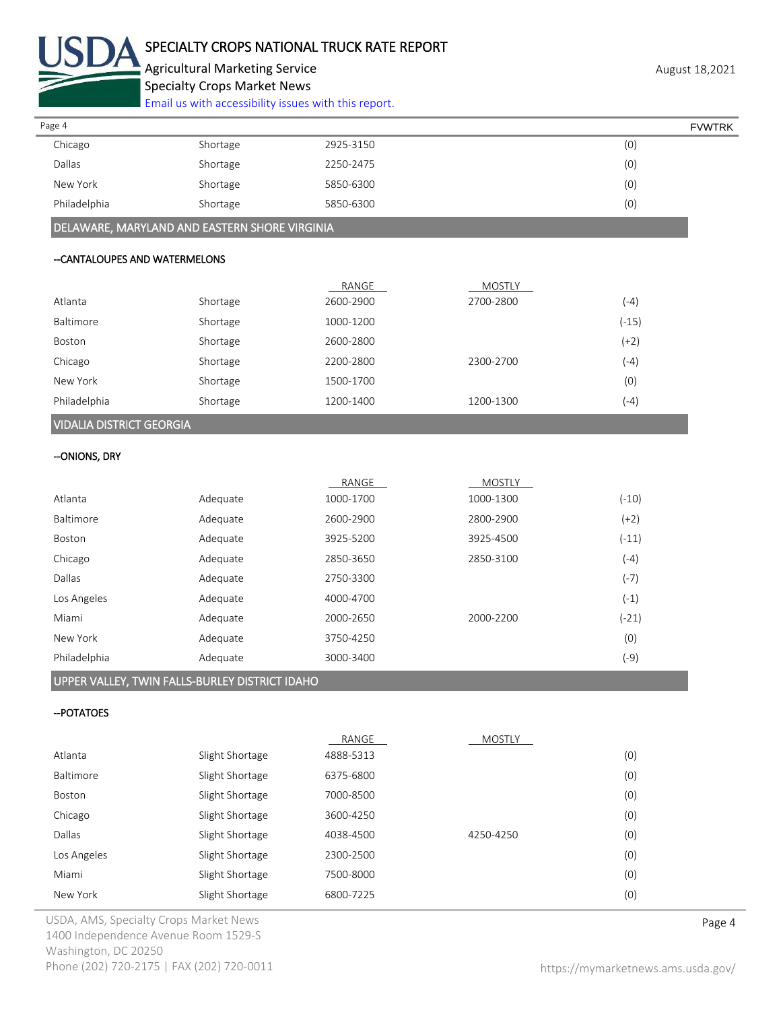

# SPECIALTY CROPS NATIONAL TRUCK RATE REPORT

Agricultural Marketing Service **August 18,2021** August 18,2021 Specialty Crops Market News

[Email us with accessibility issues with this report.](mailto:mars@ams.usda.gov?subject=508%20Inquiry/Report)

| Page 4       |          |           | <b>FVWTRK</b> |
|--------------|----------|-----------|---------------|
| Chicago      | Shortage | 2925-3150 | (0)           |
| Dallas       | Shortage | 2250-2475 | (0)           |
| New York     | Shortage | 5850-6300 | (0)           |
| Philadelphia | Shortage | 5850-6300 | (0)           |

DELAWARE, MARYLAND AND EASTERN SHORE VIRGINIA

## --CANTALOUPES AND WATERMELONS

|                                 |          | RANGE     | <b>MOSTLY</b> |         |
|---------------------------------|----------|-----------|---------------|---------|
| Atlanta                         | Shortage | 2600-2900 | 2700-2800     | $(-4)$  |
| Baltimore                       | Shortage | 1000-1200 |               | $(-15)$ |
| Boston                          | Shortage | 2600-2800 |               | $(+2)$  |
| Chicago                         | Shortage | 2200-2800 | 2300-2700     | $(-4)$  |
| New York                        | Shortage | 1500-1700 |               | (0)     |
| Philadelphia                    | Shortage | 1200-1400 | 1200-1300     | $(-4)$  |
| <b>VIDALIA DISTRICT GEORGIA</b> |          |           |               |         |

# --ONIONS, DRY

|          | RANGE     | <b>MOSTLY</b> |         |
|----------|-----------|---------------|---------|
| Adequate | 1000-1700 | 1000-1300     | $(-10)$ |
| Adequate | 2600-2900 | 2800-2900     | $(+2)$  |
| Adequate | 3925-5200 | 3925-4500     | $(-11)$ |
| Adequate | 2850-3650 | 2850-3100     | $(-4)$  |
| Adequate | 2750-3300 |               | $(-7)$  |
| Adequate | 4000-4700 |               | $(-1)$  |
| Adequate | 2000-2650 | 2000-2200     | $(-21)$ |
| Adequate | 3750-4250 |               | (0)     |
| Adequate | 3000-3400 |               | (-9)    |
|          |           |               |         |

# UPPER VALLEY, TWIN FALLS-BURLEY DISTRICT IDAHO

## --POTATOES

|             |                 | RANGE     | <b>MOSTLY</b> |     |
|-------------|-----------------|-----------|---------------|-----|
| Atlanta     | Slight Shortage | 4888-5313 |               | (0) |
| Baltimore   | Slight Shortage | 6375-6800 |               | (0) |
| Boston      | Slight Shortage | 7000-8500 |               | (0) |
| Chicago     | Slight Shortage | 3600-4250 |               | (0) |
| Dallas      | Slight Shortage | 4038-4500 | 4250-4250     | (0) |
| Los Angeles | Slight Shortage | 2300-2500 |               | (0) |
| Miami       | Slight Shortage | 7500-8000 |               | (0) |
| New York    | Slight Shortage | 6800-7225 |               | (0) |

USDA, AMS, Specialty Crops Market News **Page 4** 1400 Independence Avenue Room 1529-S Washington, DC 20250 Phone (202) 720-2175 | FAX (202) 720-0011 <https://mymarketnews.ams.usda.gov/>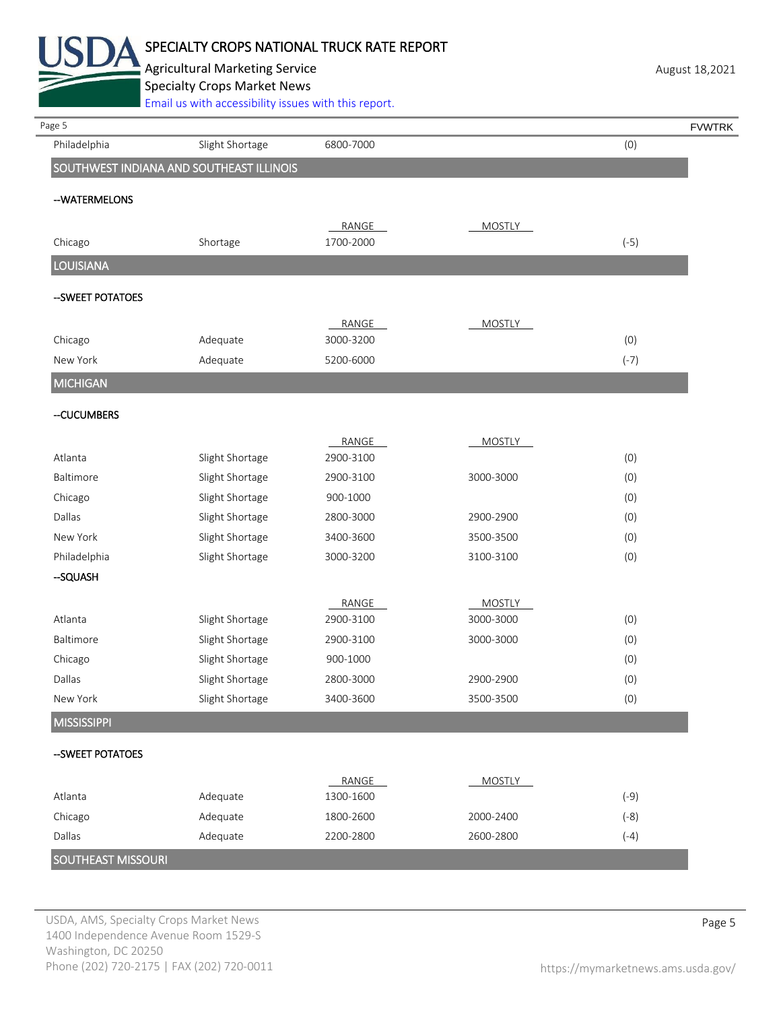

Agricultural Marketing Service **August 18,2021** August 18,2021 Specialty Crops Market News

[Email us with accessibility issues with this report.](mailto:mars@ams.usda.gov?subject=508%20Inquiry/Report)

| Page 5             |                                          |           |               | <b>FVWTRK</b> |
|--------------------|------------------------------------------|-----------|---------------|---------------|
| Philadelphia       | Slight Shortage                          | 6800-7000 |               | (0)           |
|                    | SOUTHWEST INDIANA AND SOUTHEAST ILLINOIS |           |               |               |
| --WATERMELONS      |                                          |           |               |               |
|                    |                                          | RANGE     | <b>MOSTLY</b> |               |
| Chicago            | Shortage                                 | 1700-2000 |               | $(-5)$        |
| <b>LOUISIANA</b>   |                                          |           |               |               |
| --SWEET POTATOES   |                                          |           |               |               |
|                    |                                          | RANGE     | <b>MOSTLY</b> |               |
| Chicago            | Adequate                                 | 3000-3200 |               | (0)           |
| New York           | Adequate                                 | 5200-6000 |               | $(-7)$        |
| <b>MICHIGAN</b>    |                                          |           |               |               |
| -CUCUMBERS         |                                          |           |               |               |
|                    |                                          | RANGE     | <b>MOSTLY</b> |               |
| Atlanta            | Slight Shortage                          | 2900-3100 |               | (0)           |
| Baltimore          | Slight Shortage                          | 2900-3100 | 3000-3000     | (0)           |
| Chicago            | Slight Shortage                          | 900-1000  |               | (0)           |
| Dallas             | Slight Shortage                          | 2800-3000 | 2900-2900     | (0)           |
| New York           | Slight Shortage                          | 3400-3600 | 3500-3500     | (0)           |
| Philadelphia       | Slight Shortage                          | 3000-3200 | 3100-3100     | (0)           |
| -SQUASH            |                                          |           |               |               |
|                    |                                          | RANGE     | <b>MOSTLY</b> |               |
| Atlanta            | Slight Shortage                          | 2900-3100 | 3000-3000     | (0)           |
| Baltimore          | Slight Shortage                          | 2900-3100 | 3000-3000     | (0)           |
| Chicago            | Slight Shortage                          | 900-1000  |               | (0)           |
| Dallas             | Slight Shortage                          | 2800-3000 | 2900-2900     | (0)           |
| New York           | Slight Shortage                          | 3400-3600 | 3500-3500     | (0)           |
| <b>MISSISSIPPI</b> |                                          |           |               |               |
| --SWEET POTATOES   |                                          |           |               |               |
|                    | Adequate                                 | RANGE     | <b>MOSTLY</b> |               |
| Atlanta<br>Chicago | Adequate                                 | 1300-1600 |               | $(-9)$        |
|                    |                                          | 1800-2600 | 2000-2400     | $(-8)$        |
| Dallas             | Adequate                                 | 2200-2800 | 2600-2800     | $(-4)$        |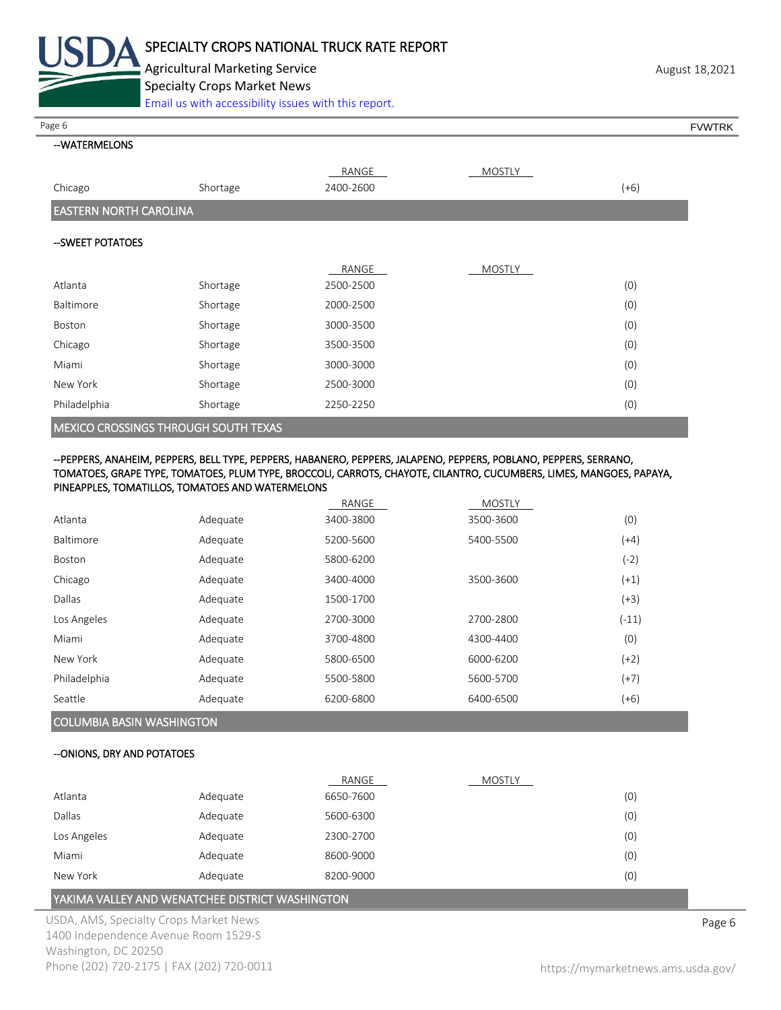

Agricultural Marketing Service **August 18,2021** August 18,2021 Specialty Crops Market News [Email us with accessibility issues with this report.](mailto:mars@ams.usda.gov?subject=508%20Inquiry/Report)

Page 6 FVWTRK

# --WATERMELONS

|                                             |          | RANGE     | <b>MOSTLY</b> |        |
|---------------------------------------------|----------|-----------|---------------|--------|
| Chicago                                     | Shortage | 2400-2600 |               | $(+6)$ |
| <b>EASTERN NORTH CAROLINA</b>               |          |           |               |        |
| --SWEET POTATOES                            |          |           |               |        |
|                                             |          | RANGE     | <b>MOSTLY</b> |        |
| Atlanta                                     | Shortage | 2500-2500 |               | (0)    |
| <b>Baltimore</b>                            | Shortage | 2000-2500 |               | (0)    |
| Boston                                      | Shortage | 3000-3500 |               | (0)    |
| Chicago                                     | Shortage | 3500-3500 |               | (0)    |
| Miami                                       | Shortage | 3000-3000 |               | (0)    |
| New York                                    | Shortage | 2500-3000 |               | (0)    |
| Philadelphia                                | Shortage | 2250-2250 |               | (0)    |
| <b>MEXICO CROSSINGS THROUGH SOUTH TEXAS</b> |          |           |               |        |

#### --PEPPERS, ANAHEIM, PEPPERS, BELL TYPE, PEPPERS, HABANERO, PEPPERS, JALAPENO, PEPPERS, POBLANO, PEPPERS, SERRANO, TOMATOES, GRAPE TYPE, TOMATOES, PLUM TYPE, BROCCOLI, CARROTS, CHAYOTE, CILANTRO, CUCUMBERS, LIMES, MANGOES, PAPAYA, PINEAPPLES, TOMATILLOS, TOMATOES AND WATERMELONS

|               |          | RANGE     | <b>MOSTLY</b> |         |
|---------------|----------|-----------|---------------|---------|
| Atlanta       | Adequate | 3400-3800 | 3500-3600     | (0)     |
| Baltimore     | Adequate | 5200-5600 | 5400-5500     | (+4)    |
| <b>Boston</b> | Adequate | 5800-6200 |               | $(-2)$  |
| Chicago       | Adequate | 3400-4000 | 3500-3600     | $(+1)$  |
| Dallas        | Adequate | 1500-1700 |               | $(+3)$  |
| Los Angeles   | Adequate | 2700-3000 | 2700-2800     | $(-11)$ |
| Miami         | Adequate | 3700-4800 | 4300-4400     | (0)     |
| New York      | Adequate | 5800-6500 | 6000-6200     | $(+2)$  |
| Philadelphia  | Adequate | 5500-5800 | 5600-5700     | $(+7)$  |
| Seattle       | Adequate | 6200-6800 | 6400-6500     | $(+6)$  |

# COLUMBIA BASIN WASHINGTON

### --ONIONS, DRY AND POTATOES

|             |          | RANGE     | <b>MOSTLY</b> |     |
|-------------|----------|-----------|---------------|-----|
| Atlanta     | Adequate | 6650-7600 |               | (0) |
| Dallas      | Adequate | 5600-6300 |               | (0) |
| Los Angeles | Adequate | 2300-2700 |               | (0) |
| Miami       | Adequate | 8600-9000 |               | (0) |
| New York    | Adequate | 8200-9000 |               | (0) |

## YAKIMA VALLEY AND WENATCHEE DISTRICT WASHINGTON

USDA, AMS, Specialty Crops Market News **Page 6** 1400 Independence Avenue Room 1529-S Washington, DC 20250 Phone (202) 720-2175 | FAX (202) 720-0011 <https://mymarketnews.ams.usda.gov/>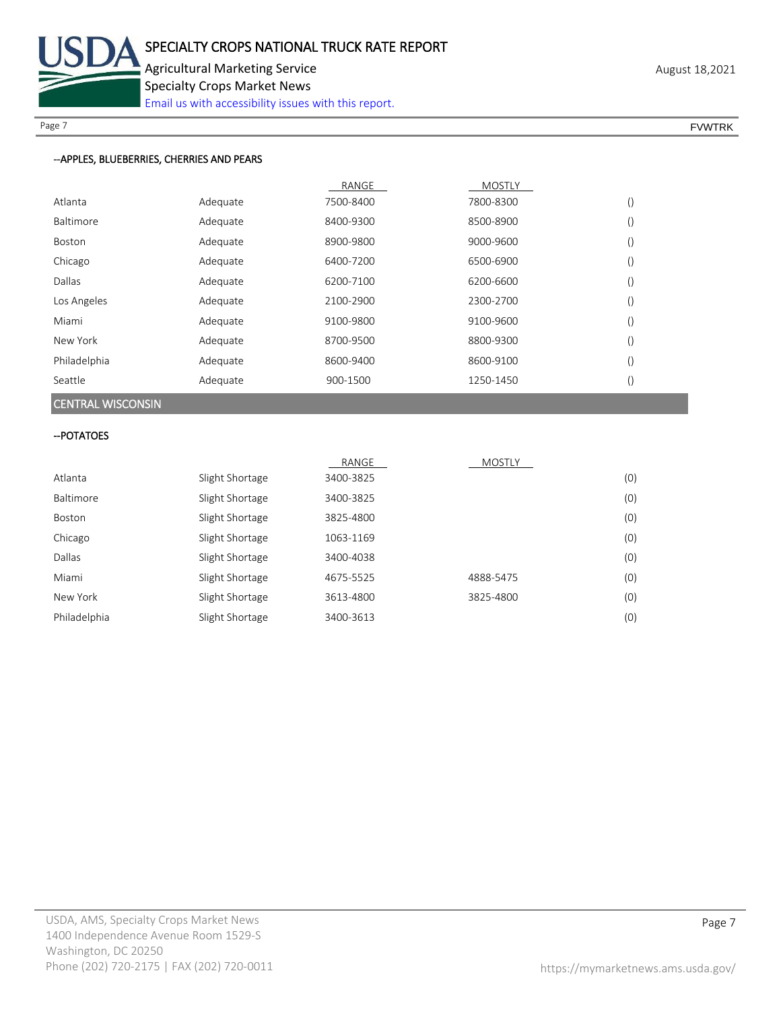

Page 7 FOUNTRK And the set of the set of the set of the set of the set of the set of the set of the set of the set of the set of the set of the set of the set of the set of the set of the set of the set of the set of the s

## --APPLES, BLUEBERRIES, CHERRIES AND PEARS

|              |          | RANGE     | <b>MOSTLY</b> |                  |
|--------------|----------|-----------|---------------|------------------|
| Atlanta      | Adequate | 7500-8400 | 7800-8300     |                  |
| Baltimore    | Adequate | 8400-9300 | 8500-8900     | $\left($         |
| Boston       | Adequate | 8900-9800 | 9000-9600     | $\left( \right)$ |
| Chicago      | Adequate | 6400-7200 | 6500-6900     |                  |
| Dallas       | Adequate | 6200-7100 | 6200-6600     |                  |
| Los Angeles  | Adequate | 2100-2900 | 2300-2700     |                  |
| Miami        | Adequate | 9100-9800 | 9100-9600     | $\left( \right)$ |
| New York     | Adequate | 8700-9500 | 8800-9300     |                  |
| Philadelphia | Adequate | 8600-9400 | 8600-9100     |                  |
| Seattle      | Adequate | 900-1500  | 1250-1450     |                  |

# CENTRAL WISCONSIN

### --POTATOES

|              |                 | RANGE     | <b>MOSTLY</b> |     |
|--------------|-----------------|-----------|---------------|-----|
| Atlanta      | Slight Shortage | 3400-3825 |               | (0) |
| Baltimore    | Slight Shortage | 3400-3825 |               | (0) |
| Boston       | Slight Shortage | 3825-4800 |               | (0) |
| Chicago      | Slight Shortage | 1063-1169 |               | (0) |
| Dallas       | Slight Shortage | 3400-4038 |               | (0) |
| Miami        | Slight Shortage | 4675-5525 | 4888-5475     | (0) |
| New York     | Slight Shortage | 3613-4800 | 3825-4800     | (0) |
| Philadelphia | Slight Shortage | 3400-3613 |               | (0) |